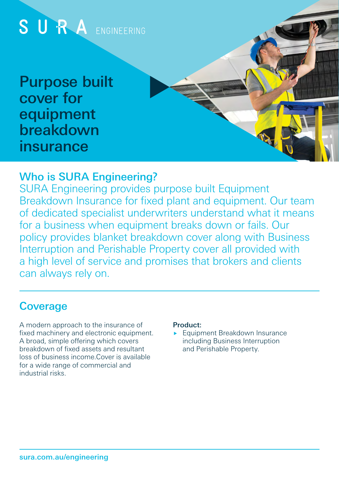

# Who is SURA Engineering?

SURA Engineering provides purpose built Equipment Breakdown Insurance for fixed plant and equipment. Our team of dedicated specialist underwriters understand what it means for a business when equipment breaks down or fails. Our policy provides blanket breakdown cover along with Business Interruption and Perishable Property cover all provided with a high level of service and promises that brokers and clients can always rely on.

# **Coverage**

A modern approach to the insurance of fixed machinery and electronic equipment. A broad, simple offering which covers breakdown of fixed assets and resultant loss of business income.Cover is available for a wide range of commercial and industrial risks.

#### Product:

Equipment Breakdown Insurance including Business Interruption and Perishable Property.